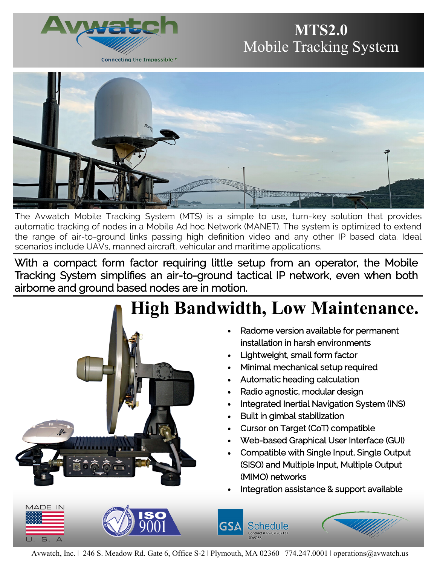

# **MTS2.0** Mobile Tracking System



The Avwatch Mobile Tracking System (MTS) is a simple to use, turn-key solution that provides automatic tracking of nodes in a Mobile Ad hoc Network (MANET). The system is optimized to extend the range of air-to-ground links passing high definition video and any other IP based data. Ideal scenarios include UAVs, manned aircraft, vehicular and maritime applications.

With a compact form factor requiring little setup from an operator, the Mobile Tracking System simplifies an air-to-ground tactical IP network, even when both airborne and ground based nodes are in motion.



Avwatch, Inc. | 246 S. Meadow Rd. Gate 6, Office S-2 | Plymouth, MA 02360 | 774.247.0001 | operations@avwatch.us

GSA

Schedule